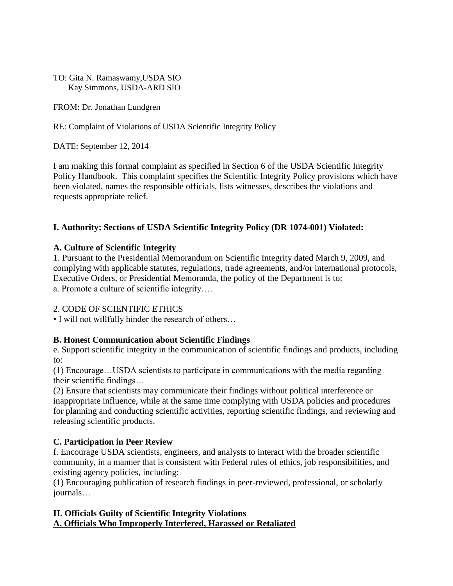### TO: Gita N. Ramaswamy,USDA SIO Kay Simmons, USDA-ARD SIO

#### FROM: Dr. Jonathan Lundgren

RE: Complaint of Violations of USDA Scientific Integrity Policy

DATE: September 12, 2014

I am making this formal complaint as specified in Section 6 of the USDA Scientific Integrity Policy Handbook. This complaint specifies the Scientific Integrity Policy provisions which have been violated, names the responsible officials, lists witnesses, describes the violations and requests appropriate relief.

# **I. Authority: Sections of USDA Scientific Integrity Policy (DR 1074-001) Violated:**

# **A. Culture of Scientific Integrity**

1. Pursuant to the Presidential Memorandum on Scientific Integrity dated March 9, 2009, and complying with applicable statutes, regulations, trade agreements, and/or international protocols, Executive Orders, or Presidential Memoranda, the policy of the Department is to: a. Promote a culture of scientific integrity….

# 2. CODE OF SCIENTIFIC ETHICS

• I will not willfully hinder the research of others…

# **B. Honest Communication about Scientific Findings**

e. Support scientific integrity in the communication of scientific findings and products, including to:

(1) Encourage…USDA scientists to participate in communications with the media regarding their scientific findings…

(2) Ensure that scientists may communicate their findings without political interference or inappropriate influence, while at the same time complying with USDA policies and procedures for planning and conducting scientific activities, reporting scientific findings, and reviewing and releasing scientific products.

# **C. Participation in Peer Review**

f. Encourage USDA scientists, engineers, and analysts to interact with the broader scientific community, in a manner that is consistent with Federal rules of ethics, job responsibilities, and existing agency policies, including:

(1) Encouraging publication of research findings in peer-reviewed, professional, or scholarly journals…

# **II. Officials Guilty of Scientific Integrity Violations A. Officials Who Improperly Interfered, Harassed or Retaliated**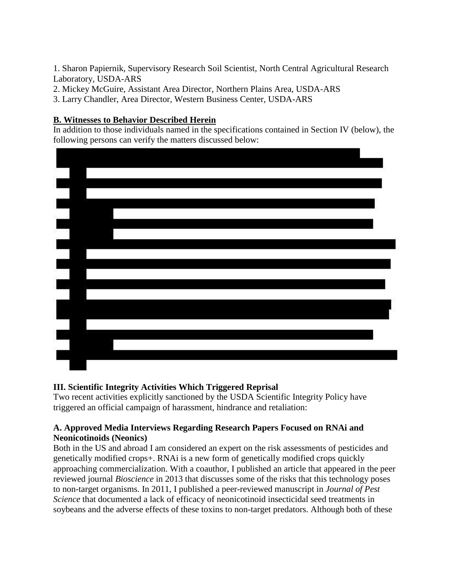1. Sharon Papiernik, Supervisory Research Soil Scientist, North Central Agricultural Research Laboratory, USDA-ARS

- 2. Mickey McGuire, Assistant Area Director, Northern Plains Area, USDA-ARS
- 3. Larry Chandler, Area Director, Western Business Center, USDA-ARS

### **B. Witnesses to Behavior Described Herein**

In addition to those individuals named in the specifications contained in Section IV (below), the following persons can verify the matters discussed below:



# **III. Scientific Integrity Activities Which Triggered Reprisal**

Two recent activities explicitly sanctioned by the USDA Scientific Integrity Policy have triggered an official campaign of harassment, hindrance and retaliation:

# **A. Approved Media Interviews Regarding Research Papers Focused on RNAi and Neonicotinoids (Neonics)**

Both in the US and abroad I am considered an expert on the risk assessments of pesticides and genetically modified crops+. RNAi is a new form of genetically modified crops quickly approaching commercialization. With a coauthor, I published an article that appeared in the peer reviewed journal *Bioscience* in 2013 that discusses some of the risks that this technology poses to non-target organisms. In 2011, I published a peer-reviewed manuscript in *Journal of Pest Science* that documented a lack of efficacy of neonicotinoid insecticidal seed treatments in soybeans and the adverse effects of these toxins to non-target predators. Although both of these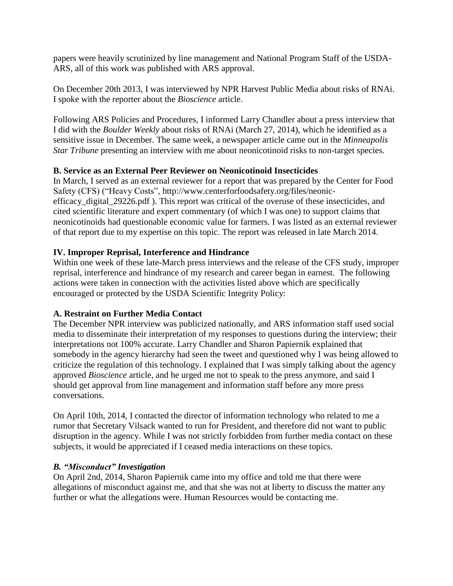papers were heavily scrutinized by line management and National Program Staff of the USDA-ARS, all of this work was published with ARS approval.

On December 20th 2013, I was interviewed by NPR Harvest Public Media about risks of RNAi. I spoke with the reporter about the *Bioscience* article.

Following ARS Policies and Procedures, I informed Larry Chandler about a press interview that I did with the *Boulder Weekly* about risks of RNAi (March 27, 2014), which he identified as a sensitive issue in December. The same week, a newspaper article came out in the *Minneapolis Star Tribune* presenting an interview with me about neonicotinoid risks to non-target species.

# **B. Service as an External Peer Reviewer on Neonicotinoid Insecticides**

In March, I served as an external reviewer for a report that was prepared by the Center for Food Safety (CFS) ("Heavy Costs", http://www.centerforfoodsafety.org/files/neonicefficacy digital 29226.pdf ). This report was critical of the overuse of these insecticides, and cited scientific literature and expert commentary (of which I was one) to support claims that neonicotinoids had questionable economic value for farmers. I was listed as an external reviewer of that report due to my expertise on this topic. The report was released in late March 2014.

# **IV. Improper Reprisal, Interference and Hindrance**

Within one week of these late-March press interviews and the release of the CFS study, improper reprisal, interference and hindrance of my research and career began in earnest. The following actions were taken in connection with the activities listed above which are specifically encouraged or protected by the USDA Scientific Integrity Policy:

# **A. Restraint on Further Media Contact**

The December NPR interview was publicized nationally, and ARS information staff used social media to disseminate their interpretation of my responses to questions during the interview; their interpretations not 100% accurate. Larry Chandler and Sharon Papiernik explained that somebody in the agency hierarchy had seen the tweet and questioned why I was being allowed to criticize the regulation of this technology. I explained that I was simply talking about the agency approved *Bioscience* article, and he urged me not to speak to the press anymore, and said I should get approval from line management and information staff before any more press conversations.

On April 10th, 2014, I contacted the director of information technology who related to me a rumor that Secretary Vilsack wanted to run for President, and therefore did not want to public disruption in the agency. While I was not strictly forbidden from further media contact on these subjects, it would be appreciated if I ceased media interactions on these topics.

# *B. "Misconduct" Investigation*

On April 2nd, 2014, Sharon Papiernik came into my office and told me that there were allegations of misconduct against me, and that she was not at liberty to discuss the matter any further or what the allegations were. Human Resources would be contacting me.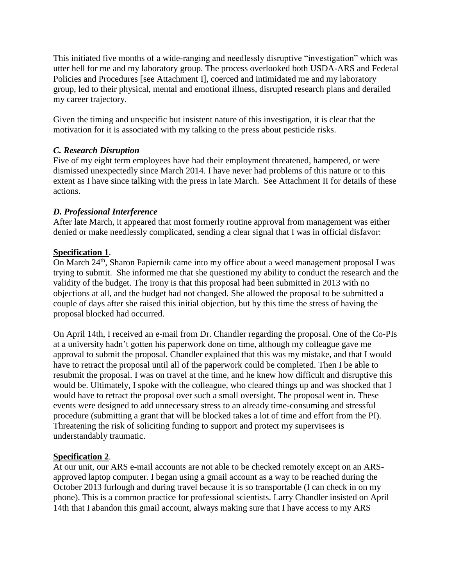This initiated five months of a wide-ranging and needlessly disruptive "investigation" which was utter hell for me and my laboratory group. The process overlooked both USDA-ARS and Federal Policies and Procedures [see Attachment I], coerced and intimidated me and my laboratory group, led to their physical, mental and emotional illness, disrupted research plans and derailed my career trajectory.

Given the timing and unspecific but insistent nature of this investigation, it is clear that the motivation for it is associated with my talking to the press about pesticide risks.

# *C. Research Disruption*

Five of my eight term employees have had their employment threatened, hampered, or were dismissed unexpectedly since March 2014. I have never had problems of this nature or to this extent as I have since talking with the press in late March. See Attachment II for details of these actions.

# *D. Professional Interference*

After late March, it appeared that most formerly routine approval from management was either denied or make needlessly complicated, sending a clear signal that I was in official disfavor:

# **Specification 1**.

On March 24<sup>th</sup>, Sharon Papiernik came into my office about a weed management proposal I was trying to submit. She informed me that she questioned my ability to conduct the research and the validity of the budget. The irony is that this proposal had been submitted in 2013 with no objections at all, and the budget had not changed. She allowed the proposal to be submitted a couple of days after she raised this initial objection, but by this time the stress of having the proposal blocked had occurred.

On April 14th, I received an e-mail from Dr. Chandler regarding the proposal. One of the Co-PIs at a university hadn't gotten his paperwork done on time, although my colleague gave me approval to submit the proposal. Chandler explained that this was my mistake, and that I would have to retract the proposal until all of the paperwork could be completed. Then I be able to resubmit the proposal. I was on travel at the time, and he knew how difficult and disruptive this would be. Ultimately, I spoke with the colleague, who cleared things up and was shocked that I would have to retract the proposal over such a small oversight. The proposal went in. These events were designed to add unnecessary stress to an already time-consuming and stressful procedure (submitting a grant that will be blocked takes a lot of time and effort from the PI). Threatening the risk of soliciting funding to support and protect my supervisees is understandably traumatic.

# **Specification 2**.

At our unit, our ARS e-mail accounts are not able to be checked remotely except on an ARSapproved laptop computer. I began using a gmail account as a way to be reached during the October 2013 furlough and during travel because it is so transportable (I can check in on my phone). This is a common practice for professional scientists. Larry Chandler insisted on April 14th that I abandon this gmail account, always making sure that I have access to my ARS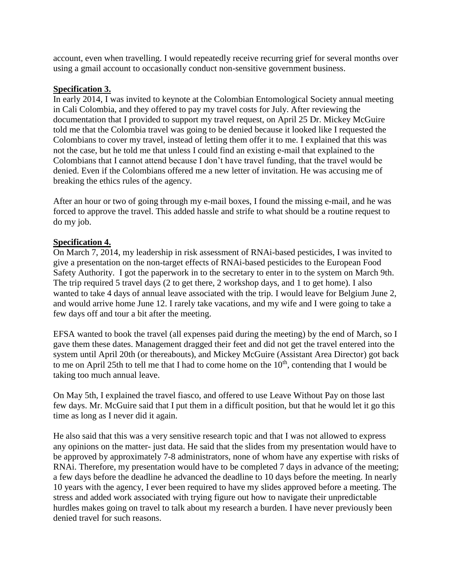account, even when travelling. I would repeatedly receive recurring grief for several months over using a gmail account to occasionally conduct non-sensitive government business.

### **Specification 3.**

In early 2014, I was invited to keynote at the Colombian Entomological Society annual meeting in Cali Colombia, and they offered to pay my travel costs for July. After reviewing the documentation that I provided to support my travel request, on April 25 Dr. Mickey McGuire told me that the Colombia travel was going to be denied because it looked like I requested the Colombians to cover my travel, instead of letting them offer it to me. I explained that this was not the case, but he told me that unless I could find an existing e-mail that explained to the Colombians that I cannot attend because I don't have travel funding, that the travel would be denied. Even if the Colombians offered me a new letter of invitation. He was accusing me of breaking the ethics rules of the agency.

After an hour or two of going through my e-mail boxes, I found the missing e-mail, and he was forced to approve the travel. This added hassle and strife to what should be a routine request to do my job.

### **Specification 4.**

On March 7, 2014, my leadership in risk assessment of RNAi-based pesticides, I was invited to give a presentation on the non-target effects of RNAi-based pesticides to the European Food Safety Authority. I got the paperwork in to the secretary to enter in to the system on March 9th. The trip required 5 travel days (2 to get there, 2 workshop days, and 1 to get home). I also wanted to take 4 days of annual leave associated with the trip. I would leave for Belgium June 2, and would arrive home June 12. I rarely take vacations, and my wife and I were going to take a few days off and tour a bit after the meeting.

EFSA wanted to book the travel (all expenses paid during the meeting) by the end of March, so I gave them these dates. Management dragged their feet and did not get the travel entered into the system until April 20th (or thereabouts), and Mickey McGuire (Assistant Area Director) got back to me on April 25th to tell me that I had to come home on the  $10<sup>th</sup>$ , contending that I would be taking too much annual leave.

On May 5th, I explained the travel fiasco, and offered to use Leave Without Pay on those last few days. Mr. McGuire said that I put them in a difficult position, but that he would let it go this time as long as I never did it again.

He also said that this was a very sensitive research topic and that I was not allowed to express any opinions on the matter- just data. He said that the slides from my presentation would have to be approved by approximately 7-8 administrators, none of whom have any expertise with risks of RNAi. Therefore, my presentation would have to be completed 7 days in advance of the meeting; a few days before the deadline he advanced the deadline to 10 days before the meeting. In nearly 10 years with the agency, I ever been required to have my slides approved before a meeting. The stress and added work associated with trying figure out how to navigate their unpredictable hurdles makes going on travel to talk about my research a burden. I have never previously been denied travel for such reasons.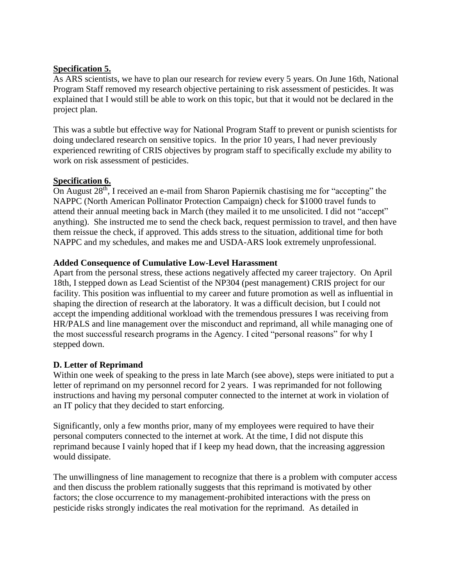## **Specification 5.**

As ARS scientists, we have to plan our research for review every 5 years. On June 16th, National Program Staff removed my research objective pertaining to risk assessment of pesticides. It was explained that I would still be able to work on this topic, but that it would not be declared in the project plan.

This was a subtle but effective way for National Program Staff to prevent or punish scientists for doing undeclared research on sensitive topics. In the prior 10 years, I had never previously experienced rewriting of CRIS objectives by program staff to specifically exclude my ability to work on risk assessment of pesticides.

### **Specification 6.**

On August 28th, I received an e-mail from Sharon Papiernik chastising me for "accepting" the NAPPC (North American Pollinator Protection Campaign) check for \$1000 travel funds to attend their annual meeting back in March (they mailed it to me unsolicited. I did not "accept" anything). She instructed me to send the check back, request permission to travel, and then have them reissue the check, if approved. This adds stress to the situation, additional time for both NAPPC and my schedules, and makes me and USDA-ARS look extremely unprofessional.

### **Added Consequence of Cumulative Low-Level Harassment**

Apart from the personal stress, these actions negatively affected my career trajectory. On April 18th, I stepped down as Lead Scientist of the NP304 (pest management) CRIS project for our facility. This position was influential to my career and future promotion as well as influential in shaping the direction of research at the laboratory. It was a difficult decision, but I could not accept the impending additional workload with the tremendous pressures I was receiving from HR/PALS and line management over the misconduct and reprimand, all while managing one of the most successful research programs in the Agency. I cited "personal reasons" for why I stepped down.

# **D. Letter of Reprimand**

Within one week of speaking to the press in late March (see above), steps were initiated to put a letter of reprimand on my personnel record for 2 years. I was reprimanded for not following instructions and having my personal computer connected to the internet at work in violation of an IT policy that they decided to start enforcing.

Significantly, only a few months prior, many of my employees were required to have their personal computers connected to the internet at work. At the time, I did not dispute this reprimand because I vainly hoped that if I keep my head down, that the increasing aggression would dissipate.

The unwillingness of line management to recognize that there is a problem with computer access and then discuss the problem rationally suggests that this reprimand is motivated by other factors; the close occurrence to my management-prohibited interactions with the press on pesticide risks strongly indicates the real motivation for the reprimand. As detailed in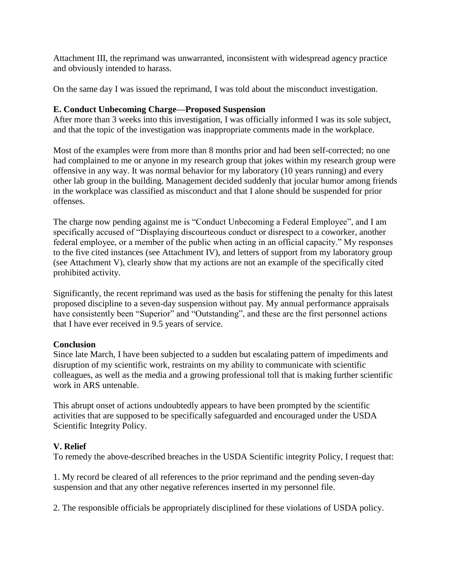Attachment III, the reprimand was unwarranted, inconsistent with widespread agency practice and obviously intended to harass.

On the same day I was issued the reprimand, I was told about the misconduct investigation.

# **E. Conduct Unbecoming Charge—Proposed Suspension**

After more than 3 weeks into this investigation, I was officially informed I was its sole subject, and that the topic of the investigation was inappropriate comments made in the workplace.

Most of the examples were from more than 8 months prior and had been self-corrected; no one had complained to me or anyone in my research group that jokes within my research group were offensive in any way. It was normal behavior for my laboratory (10 years running) and every other lab group in the building. Management decided suddenly that jocular humor among friends in the workplace was classified as misconduct and that I alone should be suspended for prior offenses.

The charge now pending against me is "Conduct Unbecoming a Federal Employee", and I am specifically accused of "Displaying discourteous conduct or disrespect to a coworker, another federal employee, or a member of the public when acting in an official capacity." My responses to the five cited instances (see Attachment IV), and letters of support from my laboratory group (see Attachment V), clearly show that my actions are not an example of the specifically cited prohibited activity.

Significantly, the recent reprimand was used as the basis for stiffening the penalty for this latest proposed discipline to a seven-day suspension without pay. My annual performance appraisals have consistently been "Superior" and "Outstanding", and these are the first personnel actions that I have ever received in 9.5 years of service.

# **Conclusion**

Since late March, I have been subjected to a sudden but escalating pattern of impediments and disruption of my scientific work, restraints on my ability to communicate with scientific colleagues, as well as the media and a growing professional toll that is making further scientific work in ARS untenable.

This abrupt onset of actions undoubtedly appears to have been prompted by the scientific activities that are supposed to be specifically safeguarded and encouraged under the USDA Scientific Integrity Policy.

# **V. Relief**

To remedy the above-described breaches in the USDA Scientific integrity Policy, I request that:

1. My record be cleared of all references to the prior reprimand and the pending seven-day suspension and that any other negative references inserted in my personnel file.

2. The responsible officials be appropriately disciplined for these violations of USDA policy.